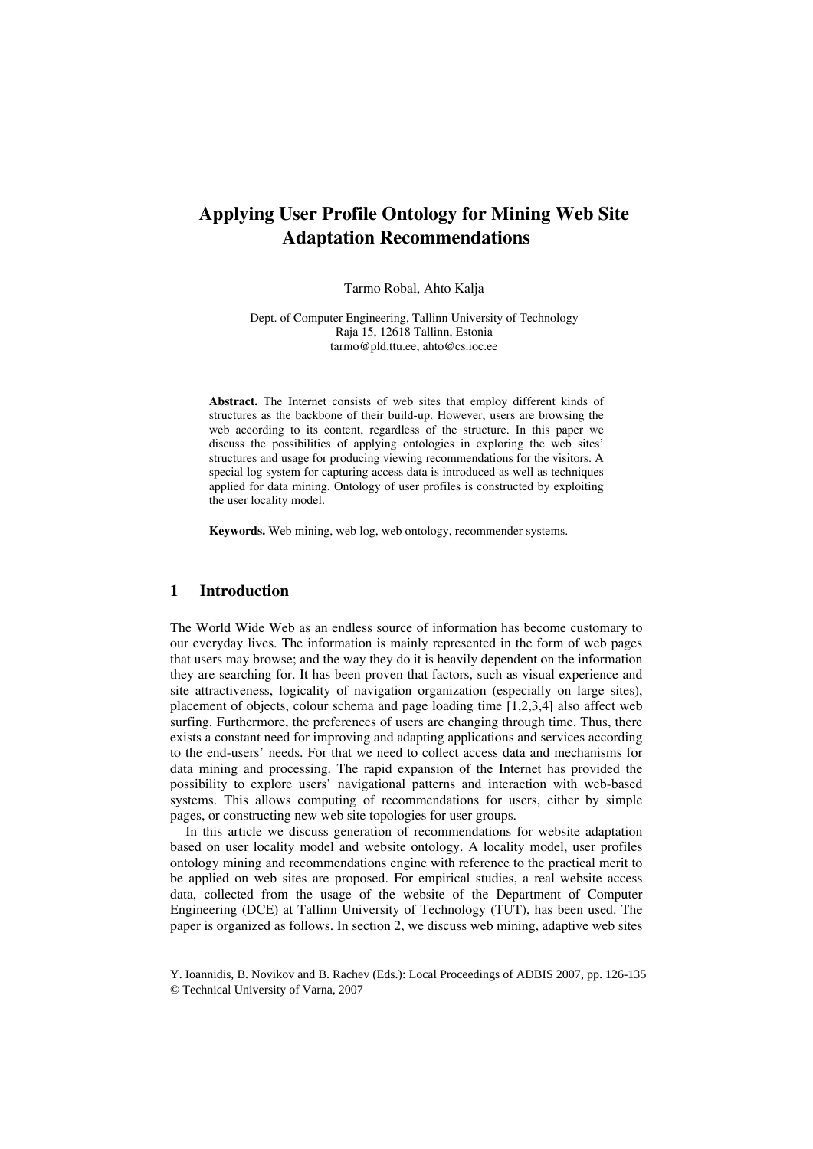# **Applying User Profile Ontology for Mining Web Site Adaptation Recommendations**

Tarmo Robal, Ahto Kalja

Dept. of Computer Engineering, Tallinn University of Technology Raja 15, 12618 Tallinn, Estonia tarmo@pld.ttu.ee, ahto@cs.ioc.ee

**Abstract.** The Internet consists of web sites that employ different kinds of structures as the backbone of their build-up. However, users are browsing the web according to its content, regardless of the structure. In this paper we discuss the possibilities of applying ontologies in exploring the web sites' structures and usage for producing viewing recommendations for the visitors. A special log system for capturing access data is introduced as well as techniques applied for data mining. Ontology of user profiles is constructed by exploiting the user locality model.

**Keywords.** Web mining, web log, web ontology, recommender systems.

# **1 Introduction**

The World Wide Web as an endless source of information has become customary to our everyday lives. The information is mainly represented in the form of web pages that users may browse; and the way they do it is heavily dependent on the information they are searching for. It has been proven that factors, such as visual experience and site attractiveness, logicality of navigation organization (especially on large sites), placement of objects, colour schema and page loading time [1,2,3,4] also affect web surfing. Furthermore, the preferences of users are changing through time. Thus, there exists a constant need for improving and adapting applications and services according to the end-users' needs. For that we need to collect access data and mechanisms for data mining and processing. The rapid expansion of the Internet has provided the possibility to explore users' navigational patterns and interaction with web-based systems. This allows computing of recommendations for users, either by simple pages, or constructing new web site topologies for user groups.

In this article we discuss generation of recommendations for website adaptation based on user locality model and website ontology. A locality model, user profiles ontology mining and recommendations engine with reference to the practical merit to be applied on web sites are proposed. For empirical studies, a real website access data, collected from the usage of the website of the Department of Computer Engineering (DCE) at Tallinn University of Technology (TUT), has been used. The paper is organized as follows. In section 2, we discuss web mining, adaptive web sites

Y. Ioannidis, B. Novikov and B. Rachev (Eds.): Local Proceedings of ADBIS 2007, pp. 126-135 © Technical University of Varna, 2007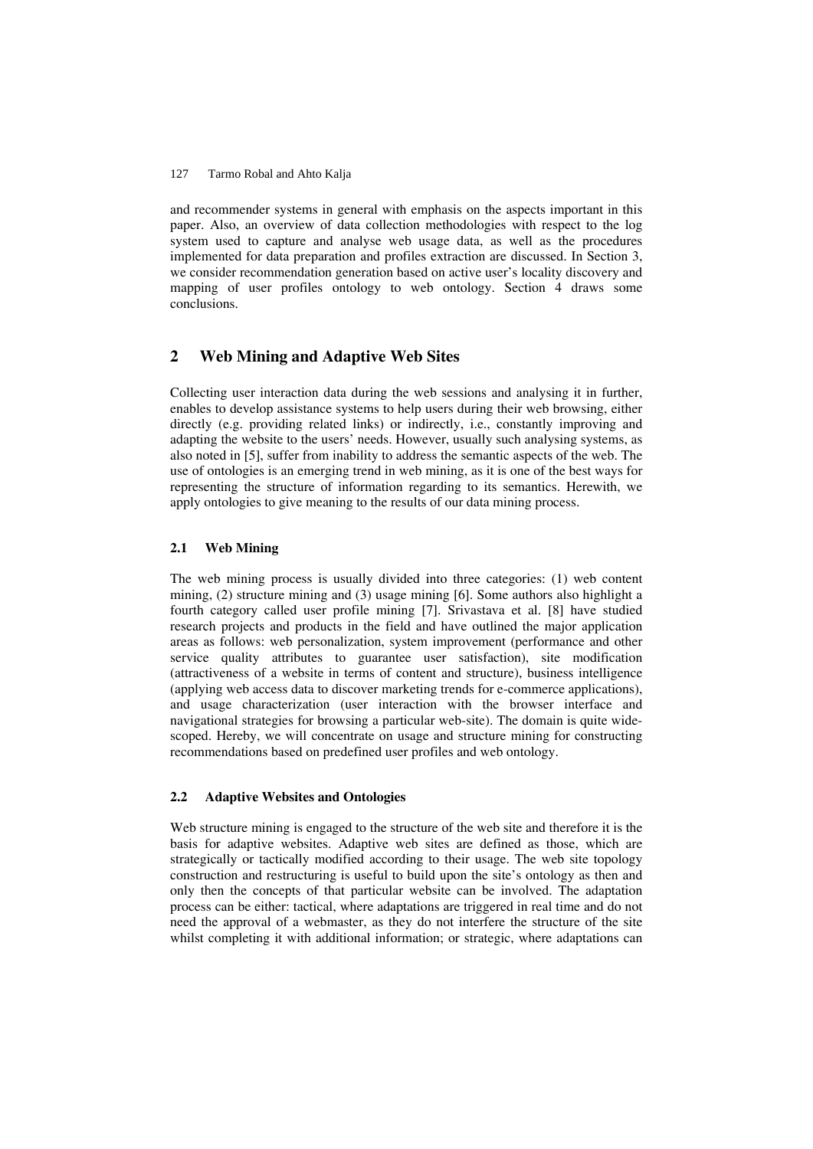and recommender systems in general with emphasis on the aspects important in this paper. Also, an overview of data collection methodologies with respect to the log system used to capture and analyse web usage data, as well as the procedures implemented for data preparation and profiles extraction are discussed. In Section 3, we consider recommendation generation based on active user's locality discovery and mapping of user profiles ontology to web ontology. Section 4 draws some conclusions.

# **2 Web Mining and Adaptive Web Sites**

Collecting user interaction data during the web sessions and analysing it in further, enables to develop assistance systems to help users during their web browsing, either directly (e.g. providing related links) or indirectly, i.e., constantly improving and adapting the website to the users' needs. However, usually such analysing systems, as also noted in [5], suffer from inability to address the semantic aspects of the web. The use of ontologies is an emerging trend in web mining, as it is one of the best ways for representing the structure of information regarding to its semantics. Herewith, we apply ontologies to give meaning to the results of our data mining process.

# **2.1 Web Mining**

The web mining process is usually divided into three categories: (1) web content mining, (2) structure mining and (3) usage mining [6]. Some authors also highlight a fourth category called user profile mining [7]. Srivastava et al. [8] have studied research projects and products in the field and have outlined the major application areas as follows: web personalization, system improvement (performance and other service quality attributes to guarantee user satisfaction), site modification (attractiveness of a website in terms of content and structure), business intelligence (applying web access data to discover marketing trends for e-commerce applications), and usage characterization (user interaction with the browser interface and navigational strategies for browsing a particular web-site). The domain is quite widescoped. Hereby, we will concentrate on usage and structure mining for constructing recommendations based on predefined user profiles and web ontology.

# **2.2 Adaptive Websites and Ontologies**

Web structure mining is engaged to the structure of the web site and therefore it is the basis for adaptive websites. Adaptive web sites are defined as those, which are strategically or tactically modified according to their usage. The web site topology construction and restructuring is useful to build upon the site's ontology as then and only then the concepts of that particular website can be involved. The adaptation process can be either: tactical, where adaptations are triggered in real time and do not need the approval of a webmaster, as they do not interfere the structure of the site whilst completing it with additional information; or strategic, where adaptations can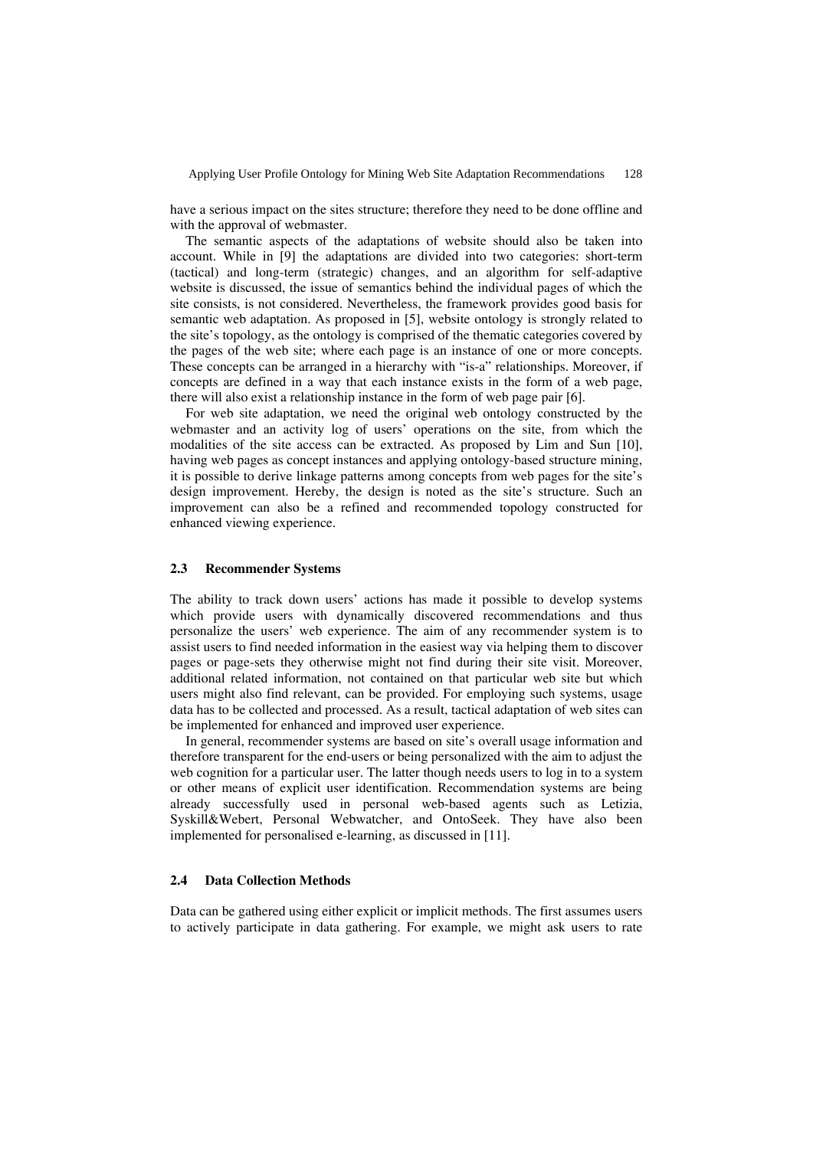have a serious impact on the sites structure; therefore they need to be done offline and with the approval of webmaster.

The semantic aspects of the adaptations of website should also be taken into account. While in [9] the adaptations are divided into two categories: short-term (tactical) and long-term (strategic) changes, and an algorithm for self-adaptive website is discussed, the issue of semantics behind the individual pages of which the site consists, is not considered. Nevertheless, the framework provides good basis for semantic web adaptation. As proposed in [5], website ontology is strongly related to the site's topology, as the ontology is comprised of the thematic categories covered by the pages of the web site; where each page is an instance of one or more concepts. These concepts can be arranged in a hierarchy with "is-a" relationships. Moreover, if concepts are defined in a way that each instance exists in the form of a web page, there will also exist a relationship instance in the form of web page pair [6].

For web site adaptation, we need the original web ontology constructed by the webmaster and an activity log of users' operations on the site, from which the modalities of the site access can be extracted. As proposed by Lim and Sun [10], having web pages as concept instances and applying ontology-based structure mining, it is possible to derive linkage patterns among concepts from web pages for the site's design improvement. Hereby, the design is noted as the site's structure. Such an improvement can also be a refined and recommended topology constructed for enhanced viewing experience.

### **2.3 Recommender Systems**

The ability to track down users' actions has made it possible to develop systems which provide users with dynamically discovered recommendations and thus personalize the users' web experience. The aim of any recommender system is to assist users to find needed information in the easiest way via helping them to discover pages or page-sets they otherwise might not find during their site visit. Moreover, additional related information, not contained on that particular web site but which users might also find relevant, can be provided. For employing such systems, usage data has to be collected and processed. As a result, tactical adaptation of web sites can be implemented for enhanced and improved user experience.

In general, recommender systems are based on site's overall usage information and therefore transparent for the end-users or being personalized with the aim to adjust the web cognition for a particular user. The latter though needs users to log in to a system or other means of explicit user identification. Recommendation systems are being already successfully used in personal web-based agents such as Letizia, Syskill&Webert, Personal Webwatcher, and OntoSeek. They have also been implemented for personalised e-learning, as discussed in [11].

#### **2.4 Data Collection Methods**

Data can be gathered using either explicit or implicit methods. The first assumes users to actively participate in data gathering. For example, we might ask users to rate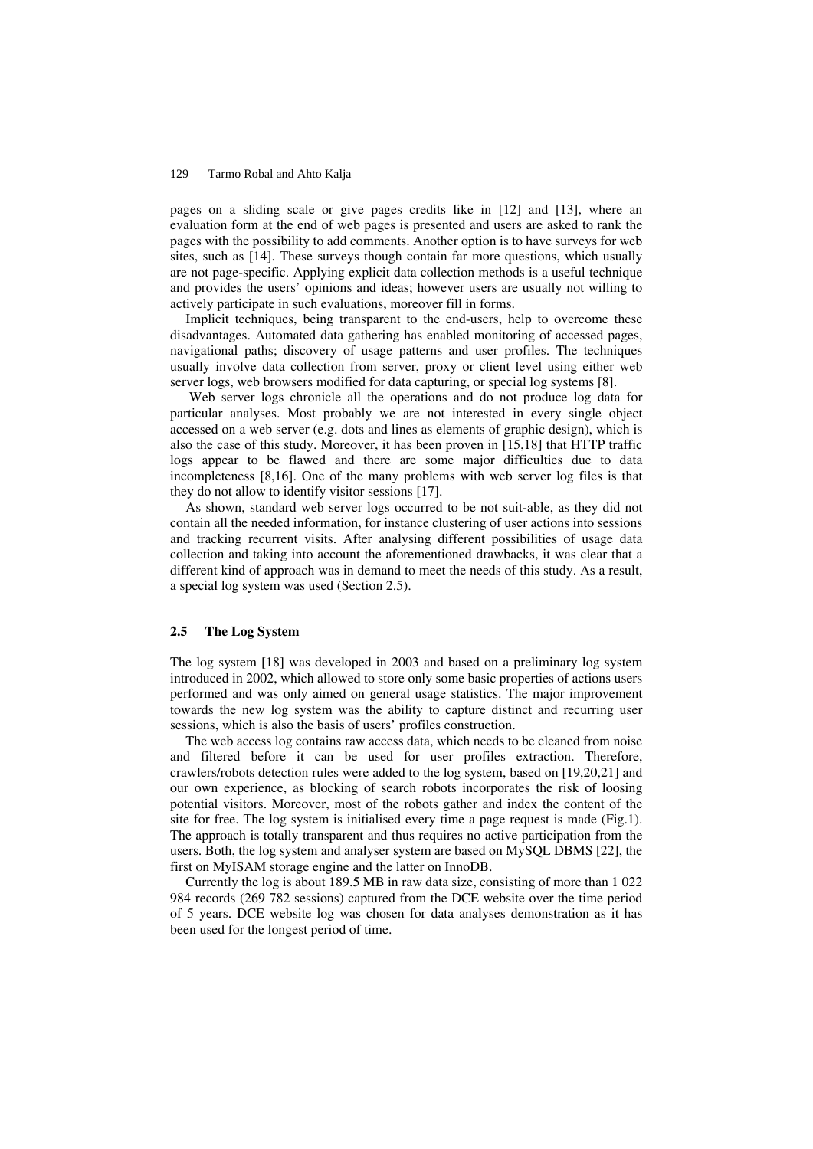pages on a sliding scale or give pages credits like in [12] and [13], where an evaluation form at the end of web pages is presented and users are asked to rank the pages with the possibility to add comments. Another option is to have surveys for web sites, such as [14]. These surveys though contain far more questions, which usually are not page-specific. Applying explicit data collection methods is a useful technique and provides the users' opinions and ideas; however users are usually not willing to actively participate in such evaluations, moreover fill in forms.

Implicit techniques, being transparent to the end-users, help to overcome these disadvantages. Automated data gathering has enabled monitoring of accessed pages, navigational paths; discovery of usage patterns and user profiles. The techniques usually involve data collection from server, proxy or client level using either web server logs, web browsers modified for data capturing, or special log systems [8].

 Web server logs chronicle all the operations and do not produce log data for particular analyses. Most probably we are not interested in every single object accessed on a web server (e.g. dots and lines as elements of graphic design), which is also the case of this study. Moreover, it has been proven in [15,18] that HTTP traffic logs appear to be flawed and there are some major difficulties due to data incompleteness [8,16]. One of the many problems with web server log files is that they do not allow to identify visitor sessions [17].

As shown, standard web server logs occurred to be not suit-able, as they did not contain all the needed information, for instance clustering of user actions into sessions and tracking recurrent visits. After analysing different possibilities of usage data collection and taking into account the aforementioned drawbacks, it was clear that a different kind of approach was in demand to meet the needs of this study. As a result, a special log system was used (Section 2.5).

# **2.5 The Log System**

The log system [18] was developed in 2003 and based on a preliminary log system introduced in 2002, which allowed to store only some basic properties of actions users performed and was only aimed on general usage statistics. The major improvement towards the new log system was the ability to capture distinct and recurring user sessions, which is also the basis of users' profiles construction.

The web access log contains raw access data, which needs to be cleaned from noise and filtered before it can be used for user profiles extraction. Therefore, crawlers/robots detection rules were added to the log system, based on [19,20,21] and our own experience, as blocking of search robots incorporates the risk of loosing potential visitors. Moreover, most of the robots gather and index the content of the site for free. The log system is initialised every time a page request is made (Fig.1). The approach is totally transparent and thus requires no active participation from the users. Both, the log system and analyser system are based on MySQL DBMS [22], the first on MyISAM storage engine and the latter on InnoDB.

Currently the log is about 189.5 MB in raw data size, consisting of more than 1 022 984 records (269 782 sessions) captured from the DCE website over the time period of 5 years. DCE website log was chosen for data analyses demonstration as it has been used for the longest period of time.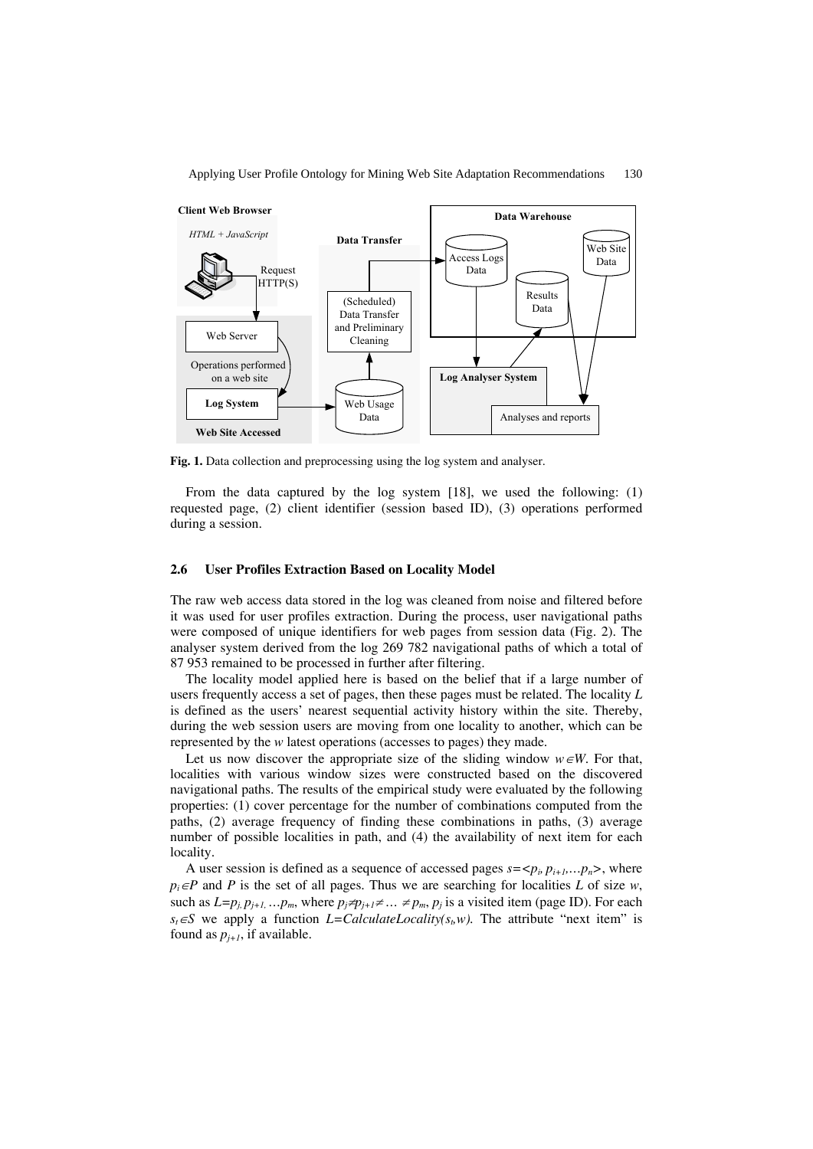



**Fig. 1.** Data collection and preprocessing using the log system and analyser.

From the data captured by the log system [18], we used the following: (1) requested page, (2) client identifier (session based ID), (3) operations performed during a session.

# **2.6 User Profiles Extraction Based on Locality Model**

The raw web access data stored in the log was cleaned from noise and filtered before it was used for user profiles extraction. During the process, user navigational paths were composed of unique identifiers for web pages from session data (Fig. 2). The analyser system derived from the log 269 782 navigational paths of which a total of 87 953 remained to be processed in further after filtering.

The locality model applied here is based on the belief that if a large number of users frequently access a set of pages, then these pages must be related. The locality *L* is defined as the users' nearest sequential activity history within the site. Thereby, during the web session users are moving from one locality to another, which can be represented by the *w* latest operations (accesses to pages) they made.

Let us now discover the appropriate size of the sliding window  $w \in W$ . For that, localities with various window sizes were constructed based on the discovered navigational paths. The results of the empirical study were evaluated by the following properties: (1) cover percentage for the number of combinations computed from the paths, (2) average frequency of finding these combinations in paths, (3) average number of possible localities in path, and (4) the availability of next item for each locality.

A user session is defined as a sequence of accessed pages  $s = \langle p_i, p_{i+1}, \ldots, p_n \rangle$ , where  $p_i ∈ P$  and *P* is the set of all pages. Thus we are searching for localities *L* of size *w*, such as  $L=p_i, p_{j+1}, \ldots, p_m$ , where  $p_j \neq p_{j+1} \neq \ldots \neq p_m$ ,  $p_j$  is a visited item (page ID). For each  $s_t \in S$  we apply a function *L=CalculateLocality(s<sub>t</sub>w)*. The attribute "next item" is found as  $p_{i+1}$ , if available.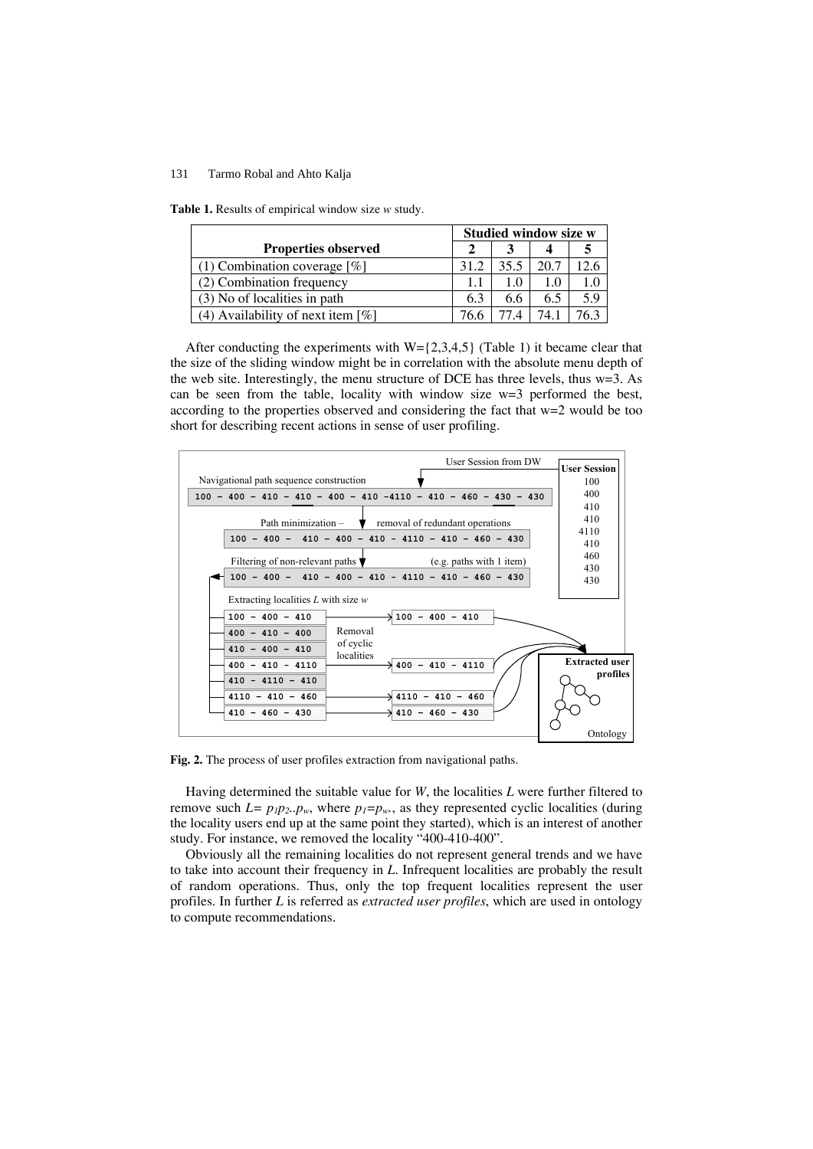**Table 1.** Results of empirical window size *w* study.

|                                      |      | <b>Studied window size w</b> |      |      |  |
|--------------------------------------|------|------------------------------|------|------|--|
| <b>Properties observed</b>           |      |                              |      |      |  |
| $(1)$ Combination coverage [%]       | 31.2 | 35.5                         | 20.7 | 12.6 |  |
| (2) Combination frequency            |      | 1.0                          |      | 1.0  |  |
| (3) No of localities in path         | 6.3  | 6.6                          | 6.5  | 5.9  |  |
| (4) Availability of next item $[\%]$ |      |                              |      |      |  |

After conducting the experiments with  $W = \{2,3,4,5\}$  (Table 1) it became clear that the size of the sliding window might be in correlation with the absolute menu depth of the web site. Interestingly, the menu structure of DCE has three levels, thus w=3. As can be seen from the table, locality with window size w=3 performed the best, according to the properties observed and considering the fact that w=2 would be too short for describing recent actions in sense of user profiling.



**Fig. 2.** The process of user profiles extraction from navigational paths.

Having determined the suitable value for *W*, the localities *L* were further filtered to remove such  $L = p_1 p_2 \cdot p_w$ , where  $p_1 = p_w$ , as they represented cyclic localities (during the locality users end up at the same point they started), which is an interest of another study. For instance, we removed the locality "400-410-400".

Obviously all the remaining localities do not represent general trends and we have to take into account their frequency in *L*. Infrequent localities are probably the result of random operations. Thus, only the top frequent localities represent the user profiles. In further *L* is referred as *extracted user profiles*, which are used in ontology to compute recommendations.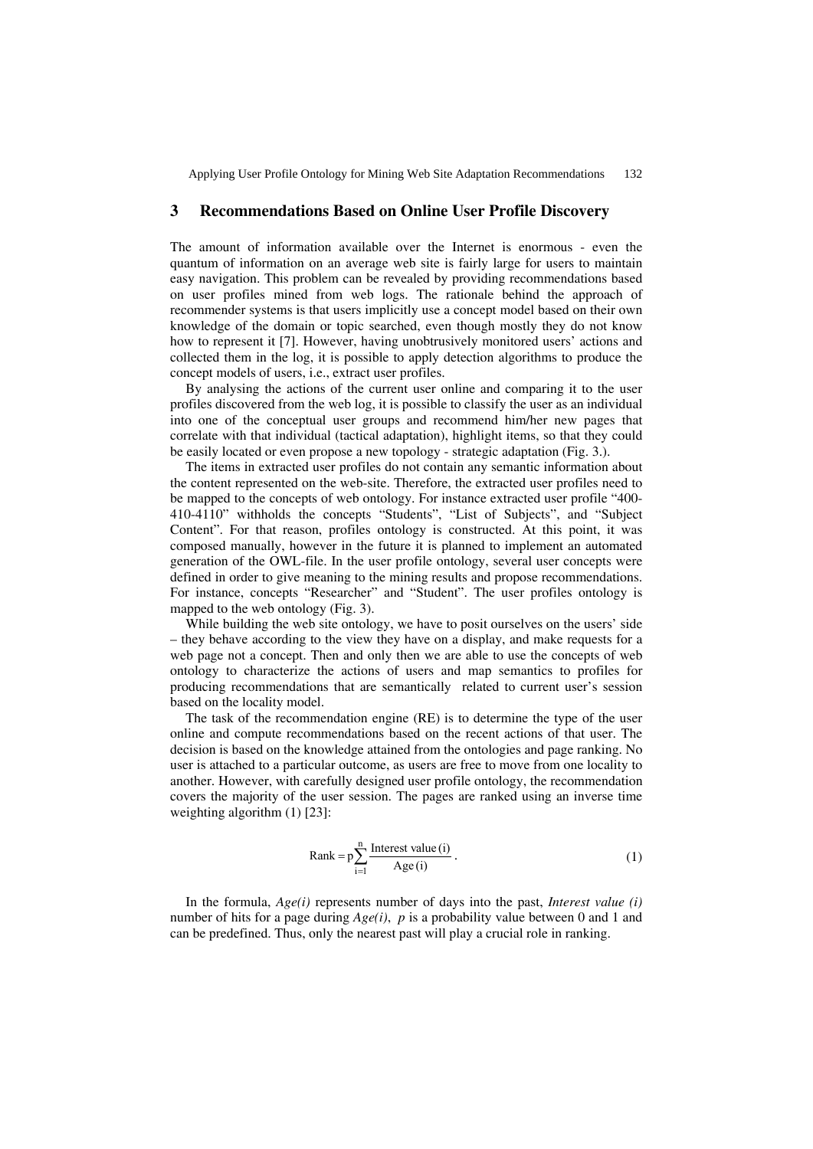Applying User Profile Ontology for Mining Web Site Adaptation Recommendations 132

# **3 Recommendations Based on Online User Profile Discovery**

The amount of information available over the Internet is enormous - even the quantum of information on an average web site is fairly large for users to maintain easy navigation. This problem can be revealed by providing recommendations based on user profiles mined from web logs. The rationale behind the approach of recommender systems is that users implicitly use a concept model based on their own knowledge of the domain or topic searched, even though mostly they do not know how to represent it [7]. However, having unobtrusively monitored users' actions and collected them in the log, it is possible to apply detection algorithms to produce the concept models of users, i.e., extract user profiles.

By analysing the actions of the current user online and comparing it to the user profiles discovered from the web log, it is possible to classify the user as an individual into one of the conceptual user groups and recommend him/her new pages that correlate with that individual (tactical adaptation), highlight items, so that they could be easily located or even propose a new topology - strategic adaptation (Fig. 3.).

The items in extracted user profiles do not contain any semantic information about the content represented on the web-site. Therefore, the extracted user profiles need to be mapped to the concepts of web ontology. For instance extracted user profile "400- 410-4110" withholds the concepts "Students", "List of Subjects", and "Subject Content". For that reason, profiles ontology is constructed. At this point, it was composed manually, however in the future it is planned to implement an automated generation of the OWL-file. In the user profile ontology, several user concepts were defined in order to give meaning to the mining results and propose recommendations. For instance, concepts "Researcher" and "Student". The user profiles ontology is mapped to the web ontology (Fig. 3).

While building the web site ontology, we have to posit ourselves on the users' side – they behave according to the view they have on a display, and make requests for a web page not a concept. Then and only then we are able to use the concepts of web ontology to characterize the actions of users and map semantics to profiles for producing recommendations that are semantically related to current user's session based on the locality model.

The task of the recommendation engine (RE) is to determine the type of the user online and compute recommendations based on the recent actions of that user. The decision is based on the knowledge attained from the ontologies and page ranking. No user is attached to a particular outcome, as users are free to move from one locality to another. However, with carefully designed user profile ontology, the recommendation covers the majority of the user session. The pages are ranked using an inverse time weighting algorithm (1) [23]:

Rank = 
$$
p \sum_{i=1}^{n} \frac{\text{Interest value (i)}}{\text{Age (i)}}
$$
. (1)

In the formula, *Age(i)* represents number of days into the past, *Interest value (i)* number of hits for a page during *Age(i)*, *p* is a probability value between 0 and 1 and can be predefined. Thus, only the nearest past will play a crucial role in ranking.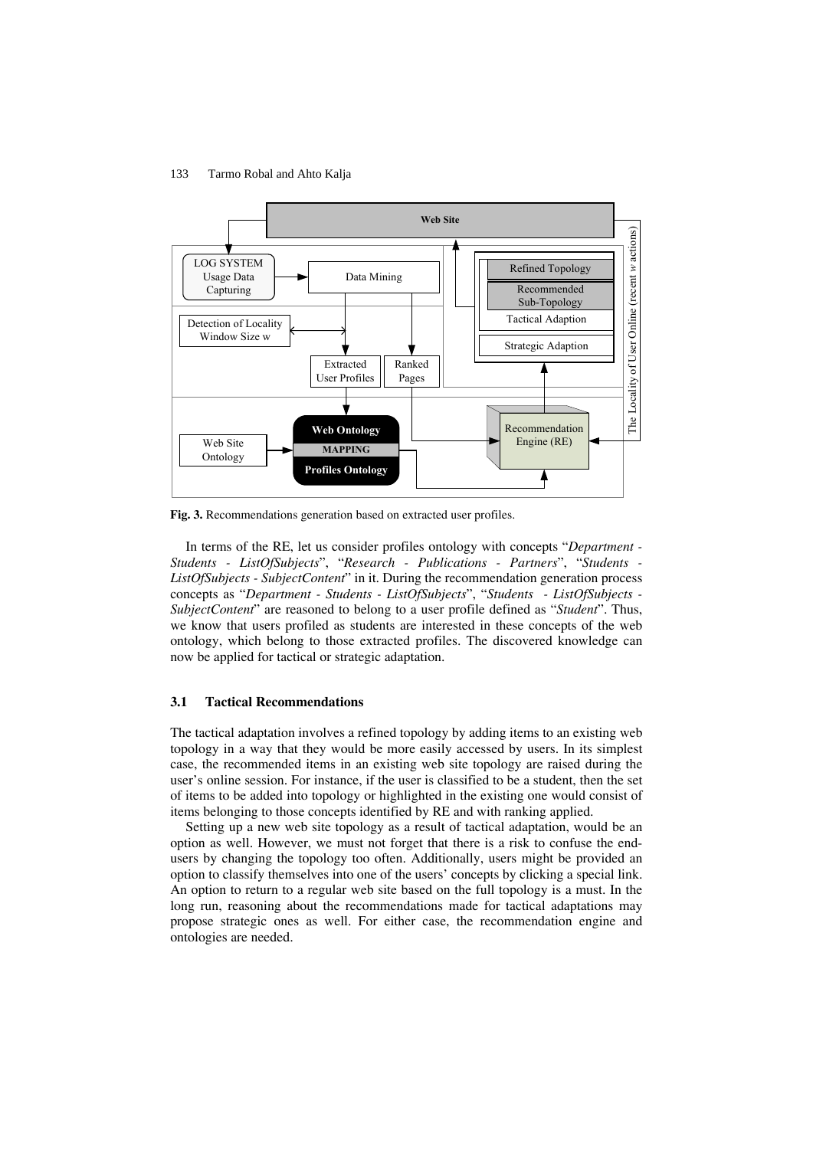

**Fig. 3.** Recommendations generation based on extracted user profiles.

In terms of the RE, let us consider profiles ontology with concepts "*Department - Students - ListOfSubjects*", "*Research - Publications - Partners*", "*Students - ListOfSubjects - SubjectContent*" in it. During the recommendation generation process concepts as "*Department - Students - ListOfSubjects*", "*Students - ListOfSubjects - SubjectContent*" are reasoned to belong to a user profile defined as "*Student*". Thus, we know that users profiled as students are interested in these concepts of the web ontology, which belong to those extracted profiles. The discovered knowledge can now be applied for tactical or strategic adaptation.

# **3.1 Tactical Recommendations**

The tactical adaptation involves a refined topology by adding items to an existing web topology in a way that they would be more easily accessed by users. In its simplest case, the recommended items in an existing web site topology are raised during the user's online session. For instance, if the user is classified to be a student, then the set of items to be added into topology or highlighted in the existing one would consist of items belonging to those concepts identified by RE and with ranking applied.

Setting up a new web site topology as a result of tactical adaptation, would be an option as well. However, we must not forget that there is a risk to confuse the endusers by changing the topology too often. Additionally, users might be provided an option to classify themselves into one of the users' concepts by clicking a special link. An option to return to a regular web site based on the full topology is a must. In the long run, reasoning about the recommendations made for tactical adaptations may propose strategic ones as well. For either case, the recommendation engine and ontologies are needed.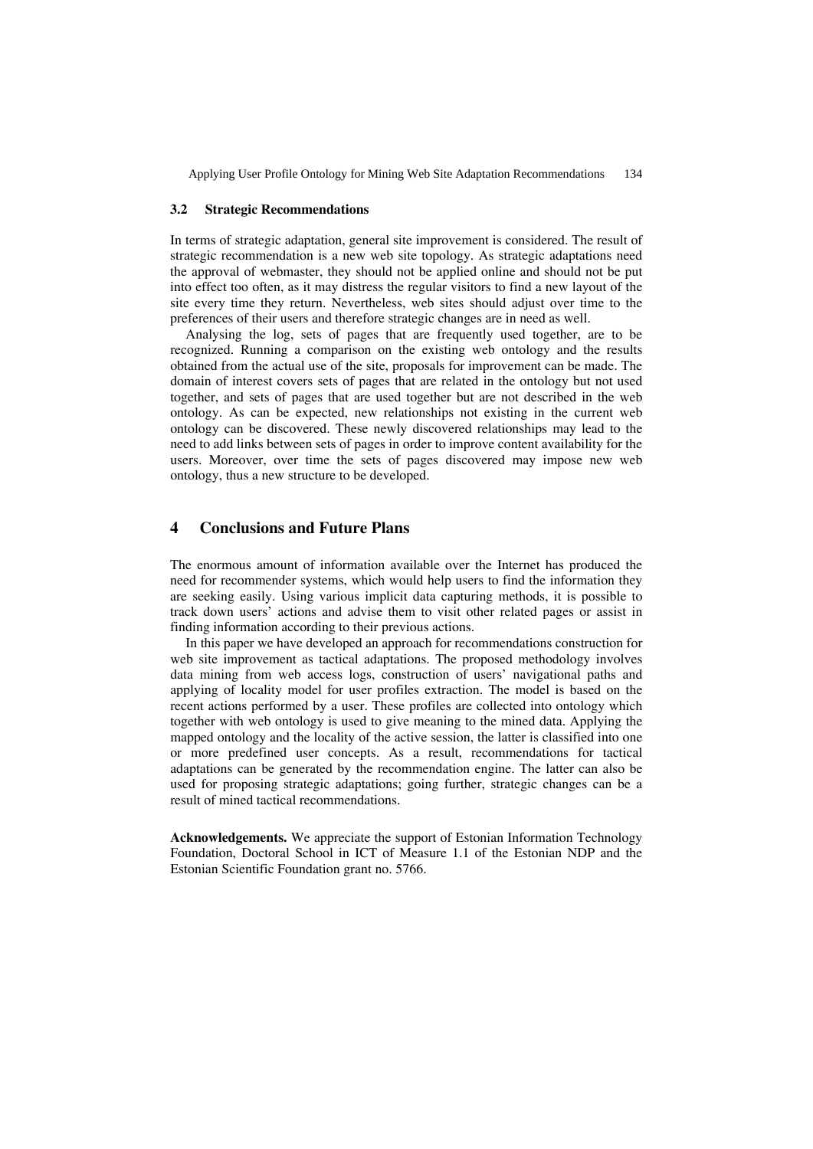Applying User Profile Ontology for Mining Web Site Adaptation Recommendations 134

#### **3.2 Strategic Recommendations**

In terms of strategic adaptation, general site improvement is considered. The result of strategic recommendation is a new web site topology. As strategic adaptations need the approval of webmaster, they should not be applied online and should not be put into effect too often, as it may distress the regular visitors to find a new layout of the site every time they return. Nevertheless, web sites should adjust over time to the preferences of their users and therefore strategic changes are in need as well.

Analysing the log, sets of pages that are frequently used together, are to be recognized. Running a comparison on the existing web ontology and the results obtained from the actual use of the site, proposals for improvement can be made. The domain of interest covers sets of pages that are related in the ontology but not used together, and sets of pages that are used together but are not described in the web ontology. As can be expected, new relationships not existing in the current web ontology can be discovered. These newly discovered relationships may lead to the need to add links between sets of pages in order to improve content availability for the users. Moreover, over time the sets of pages discovered may impose new web ontology, thus a new structure to be developed.

# **4 Conclusions and Future Plans**

The enormous amount of information available over the Internet has produced the need for recommender systems, which would help users to find the information they are seeking easily. Using various implicit data capturing methods, it is possible to track down users' actions and advise them to visit other related pages or assist in finding information according to their previous actions.

In this paper we have developed an approach for recommendations construction for web site improvement as tactical adaptations. The proposed methodology involves data mining from web access logs, construction of users' navigational paths and applying of locality model for user profiles extraction. The model is based on the recent actions performed by a user. These profiles are collected into ontology which together with web ontology is used to give meaning to the mined data. Applying the mapped ontology and the locality of the active session, the latter is classified into one or more predefined user concepts. As a result, recommendations for tactical adaptations can be generated by the recommendation engine. The latter can also be used for proposing strategic adaptations; going further, strategic changes can be a result of mined tactical recommendations.

**Acknowledgements.** We appreciate the support of Estonian Information Technology Foundation, Doctoral School in ICT of Measure 1.1 of the Estonian NDP and the Estonian Scientific Foundation grant no. 5766.